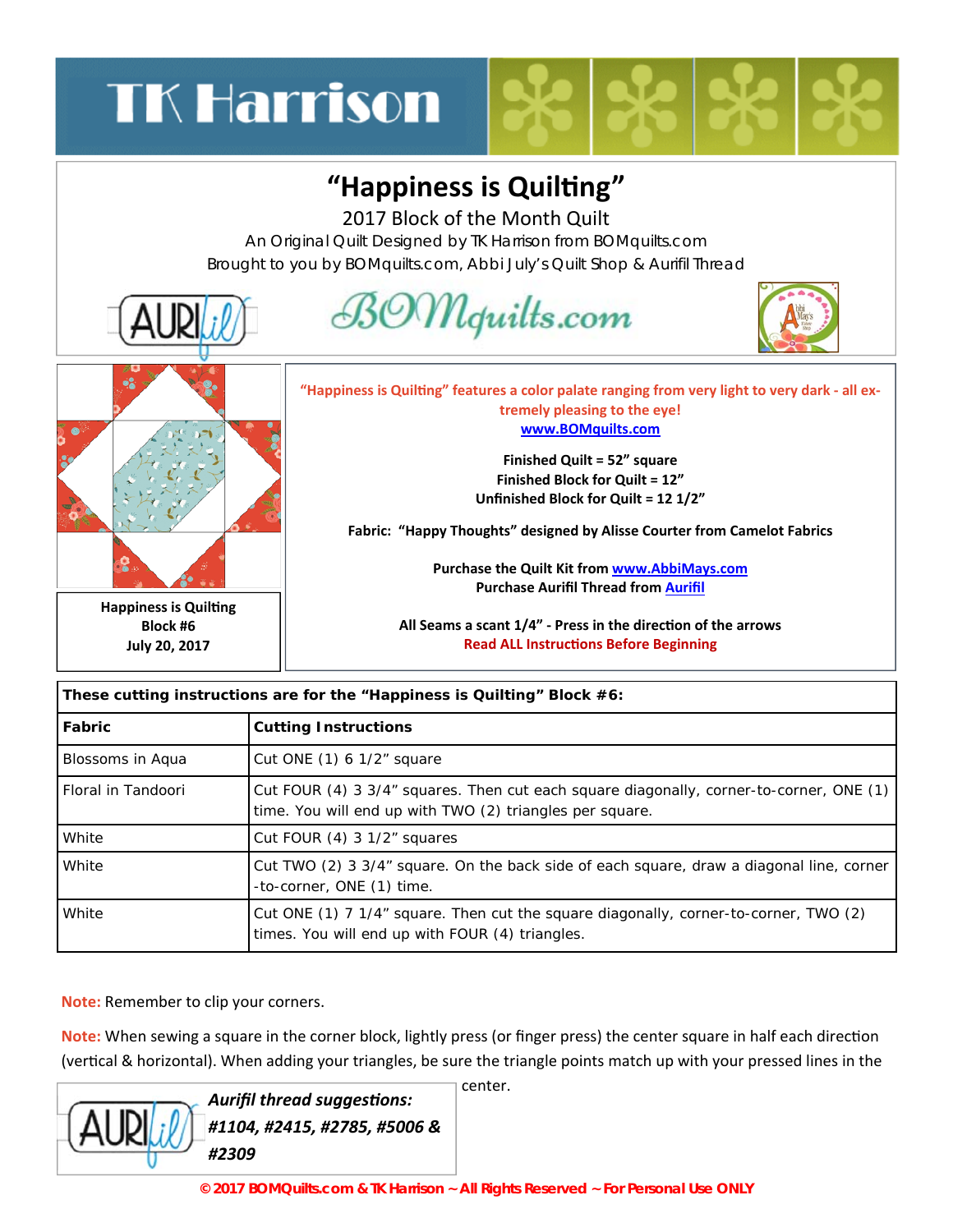# **TK Harrison**

#### "Happiness is Quilting"

2017 Block of the Month Quilt

An Original Quilt Designed by TK Harrison from BOMquilts.com Brought to you by BOMquilts.com, Abbi July's Quilt Shop & Aurifil Thread



| These cutting instructions are for the "Happiness is Quilting" Block #6: |                                                                                                                                                     |  |
|--------------------------------------------------------------------------|-----------------------------------------------------------------------------------------------------------------------------------------------------|--|
| Fabric                                                                   | <b>Cutting Instructions</b>                                                                                                                         |  |
| Blossoms in Aqua                                                         | Cut ONE (1) 6 1/2" square                                                                                                                           |  |
| Floral in Tandoori                                                       | Cut FOUR (4) 3 3/4" squares. Then cut each square diagonally, corner-to-corner, ONE (1)<br>time. You will end up with TWO (2) triangles per square. |  |
| White                                                                    | Cut FOUR (4) 3 1/2" squares                                                                                                                         |  |
| White                                                                    | Cut TWO (2) 3 3/4" square. On the back side of each square, draw a diagonal line, corner<br>-to-corner, ONE (1) time.                               |  |
| White                                                                    | Cut ONE (1) 7 1/4" square. Then cut the square diagonally, corner-to-corner, TWO (2)<br>times. You will end up with FOUR (4) triangles.             |  |

**Note:** Remember to clip your corners.

**Note:** When sewing a square in the corner block, lightly press (or finger press) the center square in half each direction (vertical & horizontal). When adding your triangles, be sure the triangle points match up with your pressed lines in the

|  | <b>Aurifil thread suggestions:</b><br>$\sqrt{\text{AUP}}$ // #1104, #2415, #2785, #5006 &<br>#2309 |
|--|----------------------------------------------------------------------------------------------------|
|--|----------------------------------------------------------------------------------------------------|

center.